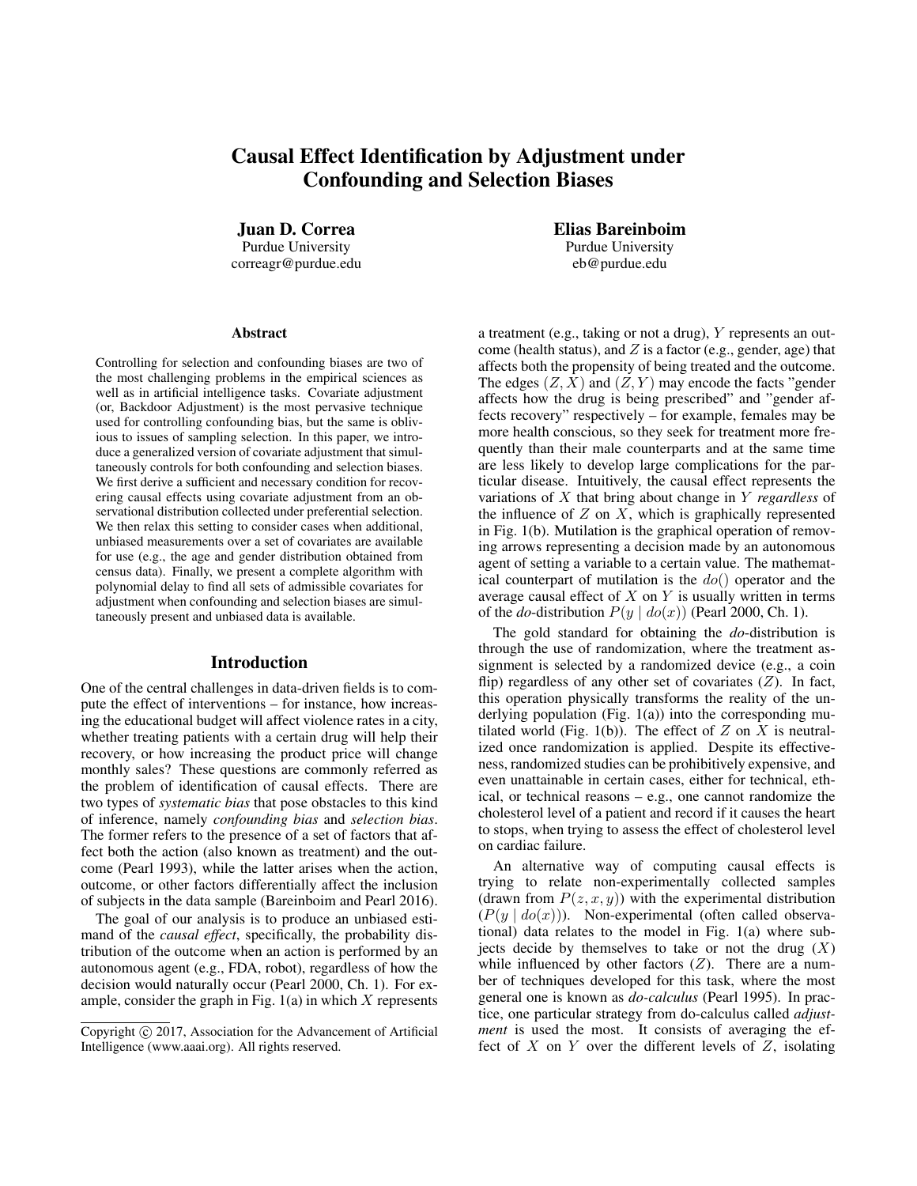# Causal Effect Identification by Adjustment under Confounding and Selection Biases

Juan D. Correa Purdue University correagr@purdue.edu

#### **Abstract**

Controlling for selection and confounding biases are two of the most challenging problems in the empirical sciences as well as in artificial intelligence tasks. Covariate adjustment (or, Backdoor Adjustment) is the most pervasive technique used for controlling confounding bias, but the same is oblivious to issues of sampling selection. In this paper, we introduce a generalized version of covariate adjustment that simultaneously controls for both confounding and selection biases. We first derive a sufficient and necessary condition for recovering causal effects using covariate adjustment from an observational distribution collected under preferential selection. We then relax this setting to consider cases when additional, unbiased measurements over a set of covariates are available for use (e.g., the age and gender distribution obtained from census data). Finally, we present a complete algorithm with polynomial delay to find all sets of admissible covariates for adjustment when confounding and selection biases are simultaneously present and unbiased data is available.

### Introduction

One of the central challenges in data-driven fields is to compute the effect of interventions – for instance, how increasing the educational budget will affect violence rates in a city, whether treating patients with a certain drug will help their recovery, or how increasing the product price will change monthly sales? These questions are commonly referred as the problem of identification of causal effects. There are two types of *systematic bias* that pose obstacles to this kind of inference, namely *confounding bias* and *selection bias*. The former refers to the presence of a set of factors that affect both the action (also known as treatment) and the outcome (Pearl 1993), while the latter arises when the action, outcome, or other factors differentially affect the inclusion of subjects in the data sample (Bareinboim and Pearl 2016).

The goal of our analysis is to produce an unbiased estimand of the *causal effect*, specifically, the probability distribution of the outcome when an action is performed by an autonomous agent (e.g., FDA, robot), regardless of how the decision would naturally occur (Pearl 2000, Ch. 1). For example, consider the graph in Fig.  $1(a)$  in which X represents Elias Bareinboim Purdue University eb@purdue.edu

a treatment (e.g., taking or not a drug), Y represents an outcome (health status), and  $Z$  is a factor (e.g., gender, age) that affects both the propensity of being treated and the outcome. The edges  $(Z, X)$  and  $(Z, Y)$  may encode the facts "gender" affects how the drug is being prescribed" and "gender affects recovery" respectively – for example, females may be more health conscious, so they seek for treatment more frequently than their male counterparts and at the same time are less likely to develop large complications for the particular disease. Intuitively, the causal effect represents the variations of X that bring about change in Y *regardless* of the influence of  $Z$  on  $X$ , which is graphically represented in Fig. 1(b). Mutilation is the graphical operation of removing arrows representing a decision made by an autonomous agent of setting a variable to a certain value. The mathematical counterpart of mutilation is the  $do()$  operator and the average causal effect of  $X$  on  $Y$  is usually written in terms of the *do*-distribution  $P(y \mid do(x))$  (Pearl 2000, Ch. 1).

The gold standard for obtaining the *do*-distribution is through the use of randomization, where the treatment assignment is selected by a randomized device (e.g., a coin flip) regardless of any other set of covariates  $(Z)$ . In fact, this operation physically transforms the reality of the underlying population (Fig.  $1(a)$ ) into the corresponding mutilated world (Fig. 1(b)). The effect of  $Z$  on  $X$  is neutralized once randomization is applied. Despite its effectiveness, randomized studies can be prohibitively expensive, and even unattainable in certain cases, either for technical, ethical, or technical reasons – e.g., one cannot randomize the cholesterol level of a patient and record if it causes the heart to stops, when trying to assess the effect of cholesterol level on cardiac failure.

An alternative way of computing causal effects is trying to relate non-experimentally collected samples (drawn from  $P(z, x, y)$ ) with the experimental distribution  $(P(y | do(x)))$ . Non-experimental (often called observational) data relates to the model in Fig. 1(a) where subjects decide by themselves to take or not the drug  $(X)$ while influenced by other factors  $(Z)$ . There are a number of techniques developed for this task, where the most general one is known as *do-calculus* (Pearl 1995). In practice, one particular strategy from do-calculus called *adjustment* is used the most. It consists of averaging the effect of  $X$  on  $Y$  over the different levels of  $Z$ , isolating

Copyright (c) 2017, Association for the Advancement of Artificial Intelligence (www.aaai.org). All rights reserved.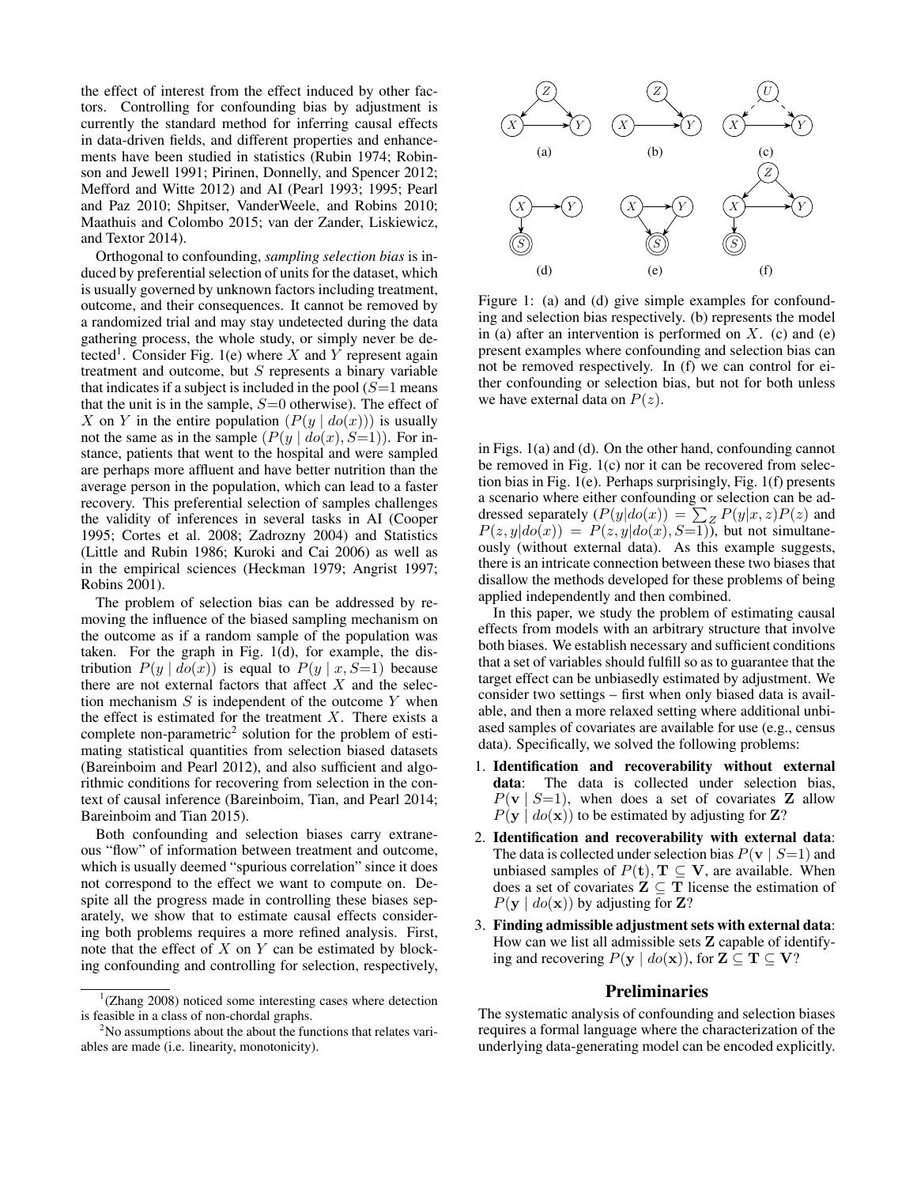the effect of interest from the effect induced by other factors. Controlling for confounding bias by adjustment is currently the standard method for inferring causal effects in data-driven fields, and different properties and enhancements have been studied in statistics (Rubin 1974; Robinson and Jewell 1991; Pirinen, Donnelly, and Spencer 2012; Mefford and Witte 2012) and AI (Pearl 1993; 1995; Pearl and Paz 2010; Shpitser, VanderWeele, and Robins 2010; Maathuis and Colombo 2015; van der Zander, Liskiewicz, and Textor 2014).

Orthogonal to confounding, *sampling selection bias* is induced by preferential selection of units for the dataset, which is usually governed by unknown factors including treatment, outcome, and their consequences. It cannot be removed by a randomized trial and may stay undetected during the data gathering process, the whole study, or simply never be detected<sup>1</sup>. Consider Fig. 1(e) where X and Y represent again treatment and outcome, but  $S$  represents a binary variable that indicates if a subject is included in the pool  $(S=1$  means that the unit is in the sample,  $S=0$  otherwise). The effect of X on Y in the entire population  $(P(y | do(x)))$  is usually not the same as in the sample  $(P(y | do(x), S=1))$ . For instance, patients that went to the hospital and were sampled are perhaps more affluent and have better nutrition than the average person in the population, which can lead to a faster recovery. This preferential selection of samples challenges the validity of inferences in several tasks in AI (Cooper 1995; Cortes et al. 2008; Zadrozny 2004) and Statistics (Little and Rubin 1986; Kuroki and Cai 2006) as well as in the empirical sciences (Heckman 1979; Angrist 1997; Robins 2001).

The problem of selection bias can be addressed by removing the influence of the biased sampling mechanism on the outcome as if a random sample of the population was taken. For the graph in Fig. 1(d), for example, the distribution  $P(y | \overline{do}(x))$  is equal to  $P(y | x, S=1)$  because there are not external factors that affect  $X$  and the selection mechanism  $S$  is independent of the outcome  $Y$  when the effect is estimated for the treatment  $X$ . There exists a complete non-parametric<sup>2</sup> solution for the problem of estimating statistical quantities from selection biased datasets (Bareinboim and Pearl 2012), and also sufficient and algorithmic conditions for recovering from selection in the context of causal inference (Bareinboim, Tian, and Pearl 2014; Bareinboim and Tian 2015).

Both confounding and selection biases carry extraneous "flow" of information between treatment and outcome, which is usually deemed "spurious correlation" since it does not correspond to the effect we want to compute on. Despite all the progress made in controlling these biases separately, we show that to estimate causal effects considering both problems requires a more refined analysis. First, note that the effect of  $X$  on  $Y$  can be estimated by blocking confounding and controlling for selection, respectively,



Figure 1: (a) and (d) give simple examples for confounding and selection bias respectively. (b) represents the model in (a) after an intervention is performed on  $X$ . (c) and (e) present examples where confounding and selection bias can not be removed respectively. In (f) we can control for either confounding or selection bias, but not for both unless we have external data on  $P(z)$ .

in Figs. 1(a) and (d). On the other hand, confounding cannot be removed in Fig. 1(c) nor it can be recovered from selection bias in Fig. 1(e). Perhaps surprisingly, Fig. 1(f) presents a scenario where either confounding or selection can be addressed separately  $(P(y|do(x)) = \sum_{z} P(y|x, z)P(z)$  and  $P(z, y|do(x)) = P(z, y|do(x), S=\overline{1}))$ , but not simultaneously (without external data). As this example suggests, there is an intricate connection between these two biases that disallow the methods developed for these problems of being applied independently and then combined.

In this paper, we study the problem of estimating causal effects from models with an arbitrary structure that involve both biases. We establish necessary and sufficient conditions that a set of variables should fulfill so as to guarantee that the target effect can be unbiasedly estimated by adjustment. We consider two settings – first when only biased data is available, and then a more relaxed setting where additional unbiased samples of covariates are available for use (e.g., census data). Specifically, we solved the following problems:

- 1. Identification and recoverability without external data: The data is collected under selection bias,  $P(\mathbf{v} \mid S=1)$ , when does a set of covariates **Z** allow  $P(\mathbf{y} \mid do(\mathbf{x}))$  to be estimated by adjusting for **Z**?
- 2. Identification and recoverability with external data: The data is collected under selection bias  $P(\mathbf{v} \mid S=1)$  and unbiased samples of  $P(t)$ ,  $T \subseteq V$ , are available. When does a set of covariates  $\mathbf{Z} \subseteq \mathbf{T}$  license the estimation of  $P(\mathbf{y} \mid do(\mathbf{x}))$  by adjusting for **Z**?
- 3. Finding admissible adjustment sets with external data: How can we list all admissible sets Z capable of identifying and recovering  $P(y \mid do(\mathbf{x}))$ , for  $\mathbf{Z} \subseteq \mathbf{T} \subseteq \mathbf{V}$ ?

## Preliminaries

The systematic analysis of confounding and selection biases requires a formal language where the characterization of the underlying data-generating model can be encoded explicitly.

<sup>&</sup>lt;sup>1</sup>(Zhang 2008) noticed some interesting cases where detection is feasible in a class of non-chordal graphs.

<sup>&</sup>lt;sup>2</sup>No assumptions about the about the functions that relates variables are made (i.e. linearity, monotonicity).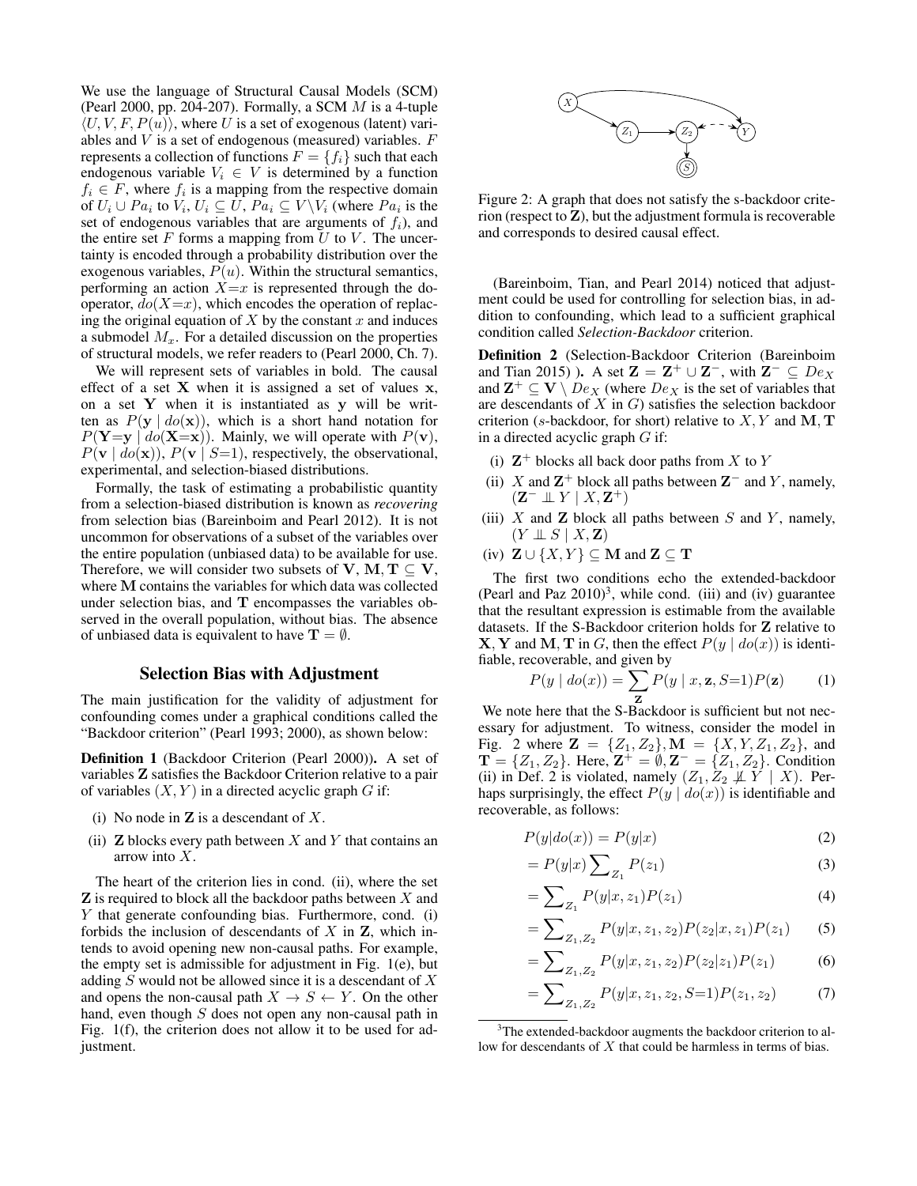We use the language of Structural Causal Models (SCM) (Pearl 2000, pp. 204-207). Formally, a SCM  $M$  is a 4-tuple  $\langle U, V, F, P(u) \rangle$ , where U is a set of exogenous (latent) variables and  $V$  is a set of endogenous (measured) variables.  $F$ represents a collection of functions  $F = \{f_i\}$  such that each endogenous variable  $V_i \in V$  is determined by a function  $f_i \in F$ , where  $f_i$  is a mapping from the respective domain of  $U_i \cup Pa_i$  to  $V_i$ ,  $U_i \subseteq U$ ,  $Pa_i \subseteq V \backslash V_i$  (where  $Pa_i$  is the set of endogenous variables that are arguments of  $f_i$ ), and the entire set  $F$  forms a mapping from  $U$  to  $V$ . The uncertainty is encoded through a probability distribution over the exogenous variables,  $P(u)$ . Within the structural semantics, performing an action  $X=x$  is represented through the dooperator,  $do(X=x)$ , which encodes the operation of replacing the original equation of  $X$  by the constant  $x$  and induces a submodel  $M_x$ . For a detailed discussion on the properties of structural models, we refer readers to (Pearl 2000, Ch. 7).

We will represent sets of variables in bold. The causal effect of a set  $X$  when it is assigned a set of values  $x$ , on a set  $Y$  when it is instantiated as  $y$  will be written as  $P(y \mid do(x))$ , which is a short hand notation for  $P(Y=y | do(X=x))$ . Mainly, we will operate with  $P(v)$ ,  $P(\mathbf{v} \mid do(\mathbf{x}))$ ,  $P(\mathbf{v} \mid S=1)$ , respectively, the observational, experimental, and selection-biased distributions.

Formally, the task of estimating a probabilistic quantity from a selection-biased distribution is known as *recovering* from selection bias (Bareinboim and Pearl 2012). It is not uncommon for observations of a subset of the variables over the entire population (unbiased data) to be available for use. Therefore, we will consider two subsets of V, M,  $T \subseteq V$ , where M contains the variables for which data was collected under selection bias, and T encompasses the variables observed in the overall population, without bias. The absence of unbiased data is equivalent to have  $\mathbf{T} = \emptyset$ .

### Selection Bias with Adjustment

The main justification for the validity of adjustment for confounding comes under a graphical conditions called the "Backdoor criterion" (Pearl 1993; 2000), as shown below:

Definition 1 (Backdoor Criterion (Pearl 2000)). A set of variables Z satisfies the Backdoor Criterion relative to a pair of variables  $(X, Y)$  in a directed acyclic graph G if:

- (i) No node in  $Z$  is a descendant of  $X$ .
- (ii) **Z** blocks every path between X and Y that contains an arrow into X.

The heart of the criterion lies in cond. (ii), where the set  $\mathbf Z$  is required to block all the backdoor paths between  $X$  and Y that generate confounding bias. Furthermore, cond. (i) forbids the inclusion of descendants of  $X$  in  $Z$ , which intends to avoid opening new non-causal paths. For example, the empty set is admissible for adjustment in Fig. 1(e), but adding  $S$  would not be allowed since it is a descendant of  $X$ and opens the non-causal path  $X \to S \leftarrow Y$ . On the other hand, even though  $S$  does not open any non-causal path in Fig. 1(f), the criterion does not allow it to be used for adjustment.



Figure 2: A graph that does not satisfy the s-backdoor criterion (respect to  $Z$ ), but the adjustment formula is recoverable and corresponds to desired causal effect.

(Bareinboim, Tian, and Pearl 2014) noticed that adjustment could be used for controlling for selection bias, in addition to confounding, which lead to a sufficient graphical condition called *Selection-Backdoor* criterion.

Definition 2 (Selection-Backdoor Criterion (Bareinboim and Tian 2015) ). A set  $\mathbf{Z} = \mathbf{Z}^+ \cup \mathbf{Z}^-$ , with  $\mathbf{Z}^- \subseteq De_X$ and  $\mathbf{Z}^+ \subseteq \mathbf{V} \setminus De_X$  (where  $De_X$  is the set of variables that are descendants of  $X$  in  $G$ ) satisfies the selection backdoor criterion (s-backdoor, for short) relative to  $X, Y$  and  $M, T$ in a directed acyclic graph  $G$  if:

- (i)  $\mathbb{Z}^+$  blocks all back door paths from X to Y
- (ii) X and  $\mathbb{Z}^+$  block all paths between  $\mathbb{Z}^-$  and Y, namely,  $(\mathbf{Z}^- \perp \!\!\! \perp Y \mid X, \mathbf{Z}^+)$
- (iii)  $X$  and  $Z$  block all paths between  $S$  and  $Y$ , namely,  $(Y \perp\!\!\!\perp S \mid X, \mathbf{Z})$
- (iv)  $\mathbf{Z} \cup \{X, Y\} \subseteq \mathbf{M}$  and  $\mathbf{Z} \subseteq \mathbf{T}$

The first two conditions echo the extended-backdoor (Pearl and Paz  $2010$ )<sup>3</sup>, while cond. (iii) and (iv) guarantee that the resultant expression is estimable from the available datasets. If the S-Backdoor criterion holds for Z relative to **X**, **Y** and **M**, **T** in *G*, then the effect  $P(y | do(x))$  is identifiable, recoverable, and given by

$$
P(y \mid do(x)) = \sum_{\mathbf{z}} P(y \mid x, \mathbf{z}, S=1) P(\mathbf{z}) \tag{1}
$$

Z We note here that the S-Backdoor is sufficient but not necessary for adjustment. To witness, consider the model in Fig. 2 where  $\mathbf{Z} = \{Z_1, Z_2\}$ ,  $\mathbf{M} = \{X, Y, Z_1, Z_2\}$ , and  $\mathbf{T} = \{Z_1, Z_2\}$ . Here,  $\mathbf{Z}^+ = \emptyset$ ,  $\mathbf{Z}^- = \{Z_1, Z_2\}$ . Condition (ii) in Def. 2 is violated, namely  $(Z_1, Z_2 \not\perp Y \mid X)$ . Perhaps surprisingly, the effect  $P(y | do(x))$  is identifiable and recoverable, as follows:

$$
P(y|do(x)) = P(y|x)
$$
\n(2)

$$
= P(y|x) \sum_{Z_1} P(z_1)
$$
 (3)

$$
= \sum_{Z_1} P(y|x, z_1) P(z_1)
$$
 (4)

$$
= \sum_{Z_1, Z_2} P(y|x, z_1, z_2) P(z_2|x, z_1) P(z_1)
$$
 (5)

$$
= \sum_{Z_1, Z_2} P(y|x, z_1, z_2) P(z_2|z_1) P(z_1)
$$
 (6)

$$
= \sum_{Z_1, Z_2} P(y|x, z_1, z_2, S=1) P(z_1, z_2)
$$
 (7)

<sup>&</sup>lt;sup>3</sup>The extended-backdoor augments the backdoor criterion to allow for descendants of X that could be harmless in terms of bias.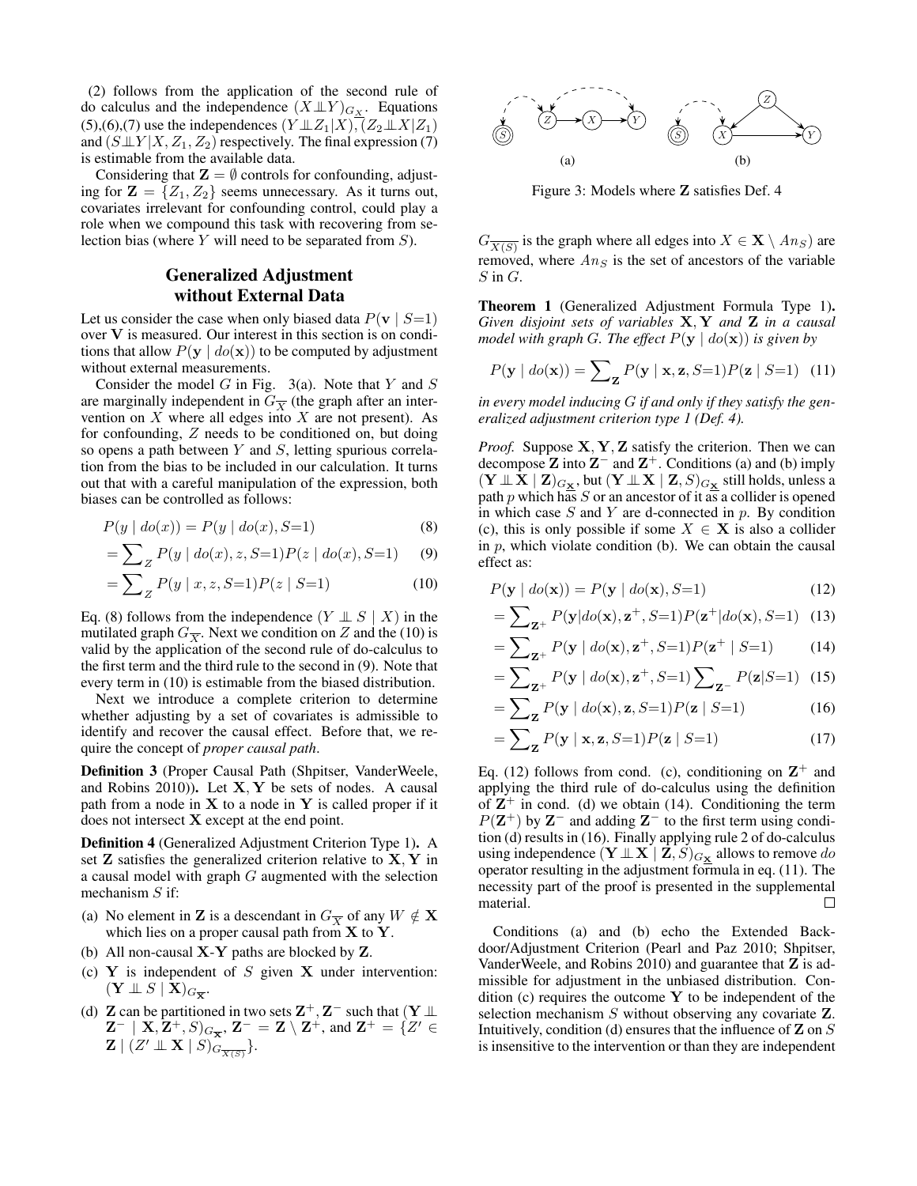(2) follows from the application of the second rule of do calculus and the independence  $(X \perp\!\!\!\perp Y)_{G_X}$ . Equations (5),(6),(7) use the independences  $(Y \perp Z_1 | X)$ , $(Z_2 \perp X | Z_1)$ and  $(S \perp \!\!\! \perp Y | X, Z_1, Z_2)$  respectively. The final expression (7) is estimable from the available data.

Considering that  $\mathbf{Z} = \emptyset$  controls for confounding, adjusting for  $\mathbf{Z} = \{Z_1, Z_2\}$  seems unnecessary. As it turns out, covariates irrelevant for confounding control, could play a role when we compound this task with recovering from selection bias (where Y will need to be separated from S).

## Generalized Adjustment without External Data

Let us consider the case when only biased data  $P(\mathbf{v} \mid S=1)$ over V is measured. Our interest in this section is on conditions that allow  $P(\mathbf{v} \mid do(\mathbf{x}))$  to be computed by adjustment without external measurements.

Consider the model  $G$  in Fig. 3(a). Note that  $Y$  and  $S$ are marginally independent in  $G_{\overline{X}}$  (the graph after an intervention on  $X$  where all edges into  $X$  are not present). As for confounding, Z needs to be conditioned on, but doing so opens a path between  $Y$  and  $S$ , letting spurious correlation from the bias to be included in our calculation. It turns out that with a careful manipulation of the expression, both biases can be controlled as follows:

$$
P(y | do(x)) = P(y | do(x), S=1)
$$
 (8)

$$
= \sum_{Z} P(y \mid do(x), z, S=1) P(z \mid do(x), S=1) \tag{9}
$$

$$
= \sum_{Z} P(y \mid x, z, S=1) P(z \mid S=1)
$$
 (10)

Eq. (8) follows from the independence  $(Y \perp\!\!\!\perp S \mid X)$  in the mutilated graph  $G_{\overline{X}}$ . Next we condition on Z and the (10) is valid by the application of the second rule of do-calculus to the first term and the third rule to the second in (9). Note that every term in (10) is estimable from the biased distribution.

Next we introduce a complete criterion to determine whether adjusting by a set of covariates is admissible to identify and recover the causal effect. Before that, we require the concept of *proper causal path*.

Definition 3 (Proper Causal Path (Shpitser, VanderWeele, and Robins 2010)). Let  $X, Y$  be sets of nodes. A causal path from a node in  $X$  to a node in  $Y$  is called proper if it does not intersect X except at the end point.

Definition 4 (Generalized Adjustment Criterion Type 1). A set  $Z$  satisfies the generalized criterion relative to  $X, Y$  in a causal model with graph G augmented with the selection mechanism  $S$  if:

- (a) No element in **Z** is a descendant in  $G_{\overline{X}}$  of any  $W \notin \mathbf{X}$ which lies on a proper causal path from  $X$  to  $Y$ .
- (b) All non-causal X-Y paths are blocked by Z.
- (c)  $Y$  is independent of  $S$  given  $X$  under intervention:  $(\mathbf{Y} \perp\!\!\!\perp S \mid \mathbf{X})_{G_{\overline{\mathbf{X}}}}.$
- (d) **Z** can be partitioned in two sets  $\mathbf{Z}^+, \mathbf{Z}^-$  such that  $(\mathbf{Y} \perp \mathbf{Z})$  $(\mathbf{Z}^- \mid \mathbf{X}, \mathbf{Z}^+, S)_{G_{\overline{\mathbf{X}}}}, \mathbf{Z}^- = \mathbf{Z} \setminus \mathbf{Z}^+,$  and  $\mathbf{Z}^+ = \{Z' \in \mathbf{Z}^+ \mid \mathbf{Z}^+, S\}$  $\mathbf{Z} \mid (Z' \perp\!\!\!\perp \mathbf{X} \mid S)$  $\widehat{G_{\overline{X(S)}}}$ }.



Figure 3: Models where Z satisfies Def. 4

 $G_{\overline{X(S)}}$  is the graph where all edges into  $X \in \mathbf{X} \setminus An_S$  are removed, where  $An_S$  is the set of ancestors of the variable  $S$  in  $G$ .

Theorem 1 (Generalized Adjustment Formula Type 1). *Given disjoint sets of variables* X, Y *and* Z *in a causal model with graph G. The effect*  $P(y \mid do(\mathbf{x}))$  *is given by* 

$$
P(\mathbf{y} \mid \text{do}(\mathbf{x})) = \sum_{\mathbf{z}} P(\mathbf{y} \mid \mathbf{x}, \mathbf{z}, S=1) P(\mathbf{z} \mid S=1) \tag{11}
$$

*in every model inducing* G *if and only if they satisfy the generalized adjustment criterion type 1 (Def. 4).*

*Proof.* Suppose **X**, **Y**, **Z** satisfy the criterion. Then we can decompose  $Z$  into  $Z^-$  and  $Z^+$ . Conditions (a) and (b) imply  $(Y \perp\!\!\!\perp X \mid \mathbf{Z})_{G_{\mathbf{X}}}$ , but  $(Y \perp\!\!\!\perp X \mid \mathbf{Z}, S)_{G_{\mathbf{X}}}$  still holds, unless a path p which has S or an ancestor of it as a collider is opened in which case  $S$  and  $Y$  are d-connected in  $p$ . By condition (c), this is only possible if some  $X \in \mathbf{X}$  is also a collider in  $p$ , which violate condition (b). We can obtain the causal effect as:

$$
P(\mathbf{y} \mid \text{do}(\mathbf{x})) = P(\mathbf{y} \mid \text{do}(\mathbf{x}), S=1)
$$
\n(12)

$$
= \sum_{\mathbf{Z}^+} P(\mathbf{y}|do(\mathbf{x}), \mathbf{z}^+, S=1) P(\mathbf{z}^+ | do(\mathbf{x}), S=1) \tag{13}
$$

$$
= \sum_{\mathbf{z}^+} P(\mathbf{y} \mid \text{do}(\mathbf{x}), \mathbf{z}^+, S=1) P(\mathbf{z}^+ \mid S=1) \tag{14}
$$

$$
= \sum_{\mathbf{Z}^+} P(\mathbf{y} \mid \text{do}(\mathbf{x}), \mathbf{z}^+, S=1) \sum_{\mathbf{Z}^-} P(\mathbf{z}|S=1) \tag{15}
$$

$$
= \sum_{\mathbf{z}} P(\mathbf{y} \mid \text{do}(\mathbf{x}), \mathbf{z}, S=1) P(\mathbf{z} \mid S=1) \tag{16}
$$

$$
= \sum_{\mathbf{Z}} P(\mathbf{y} \mid \mathbf{x}, \mathbf{z}, S=1) P(\mathbf{z} \mid S=1)
$$
 (17)

Eq. (12) follows from cond. (c), conditioning on  $\mathbb{Z}^+$  and applying the third rule of do-calculus using the definition of  $\mathbf{Z}^+$  in cond. (d) we obtain (14). Conditioning the term  $P(Z^+)$  by  $Z^-$  and adding  $Z^-$  to the first term using condition (d) results in (16). Finally applying rule 2 of do-calculus using independence  $(Y \perp\!\!\!\perp X \mid \mathbf{Z}, S)_{G_{\mathbf{X}}}$  allows to remove  $do$ operator resulting in the adjustment formula in eq. (11). The necessity part of the proof is presented in the supplemental material. П

Conditions (a) and (b) echo the Extended Backdoor/Adjustment Criterion (Pearl and Paz 2010; Shpitser, VanderWeele, and Robins 2010) and guarantee that  $Z$  is admissible for adjustment in the unbiased distribution. Condition (c) requires the outcome  $Y$  to be independent of the selection mechanism S without observing any covariate **Z**. Intuitively, condition (d) ensures that the influence of  $\mathbf Z$  on  $S$ is insensitive to the intervention or than they are independent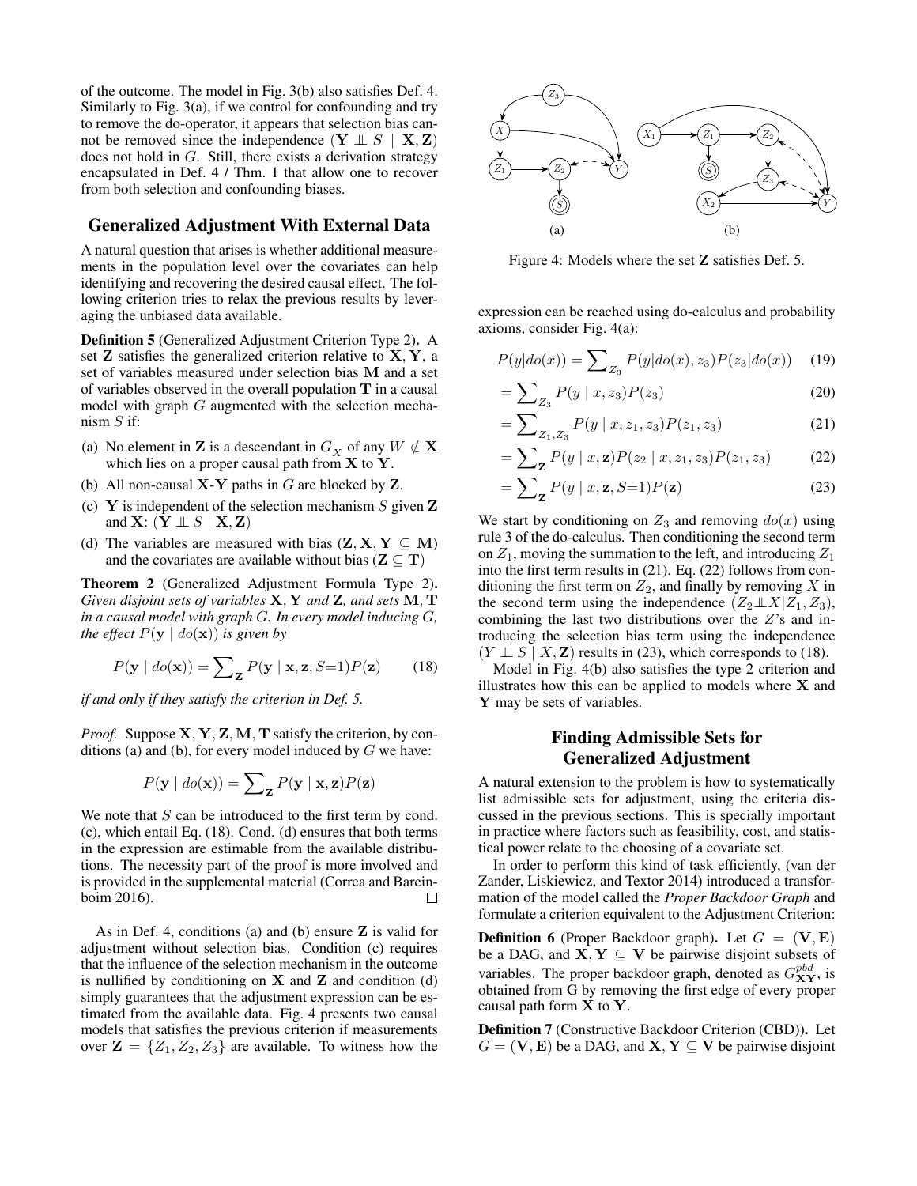of the outcome. The model in Fig. 3(b) also satisfies Def. 4. Similarly to Fig. 3(a), if we control for confounding and try to remove the do-operator, it appears that selection bias cannot be removed since the independence  $(Y \perp\!\!\!\perp S \mid X, Z)$ does not hold in G. Still, there exists a derivation strategy encapsulated in Def. 4 / Thm. 1 that allow one to recover from both selection and confounding biases.

### Generalized Adjustment With External Data

A natural question that arises is whether additional measurements in the population level over the covariates can help identifying and recovering the desired causal effect. The following criterion tries to relax the previous results by leveraging the unbiased data available.

Definition 5 (Generalized Adjustment Criterion Type 2). A set  $Z$  satisfies the generalized criterion relative to  $X, Y, a$ set of variables measured under selection bias M and a set of variables observed in the overall population  $T$  in a causal model with graph  $G$  augmented with the selection mechanism  $S$  if:

- (a) No element in **Z** is a descendant in  $G_{\overline{X}}$  of any  $W \notin \mathbf{X}$ which lies on a proper causal path from  $\overline{X}$  to  $\overline{Y}$ .
- (b) All non-causal  $X-Y$  paths in  $G$  are blocked by  $Z$ .
- (c) Y is independent of the selection mechanism S given  $Z$ and  $X: (Y \perp\!\!\!\perp S \mid X, Z)$
- (d) The variables are measured with bias  $(Z, X, Y \subseteq M)$ and the covariates are available without bias ( $\mathbf{Z} \subseteq \mathbf{T}$ )

Theorem 2 (Generalized Adjustment Formula Type 2). *Given disjoint sets of variables* X, Y *and* Z*, and sets* M, T *in a causal model with graph* G*. In every model inducing* G*, the effect*  $P(y \mid do(\mathbf{x}))$  *is given by* 

$$
P(\mathbf{y} \mid \text{do}(\mathbf{x})) = \sum_{\mathbf{Z}} P(\mathbf{y} \mid \mathbf{x}, \mathbf{z}, S=1) P(\mathbf{z}) \tag{18}
$$

*if and only if they satisfy the criterion in Def. 5.*

*Proof.* Suppose  $X, Y, Z, M, T$  satisfy the criterion, by conditions (a) and (b), for every model induced by  $G$  we have:

$$
P(\mathbf{y} \mid \textit{do}(\mathbf{x})) = \sum_{\mathbf{Z}} P(\mathbf{y} \mid \mathbf{x}, \mathbf{z}) P(\mathbf{z})
$$

We note that  $S$  can be introduced to the first term by cond. (c), which entail Eq. (18). Cond. (d) ensures that both terms in the expression are estimable from the available distributions. The necessity part of the proof is more involved and is provided in the supplemental material (Correa and Bareinboim 2016).  $\Box$ 

As in Def. 4, conditions (a) and (b) ensure  $Z$  is valid for adjustment without selection bias. Condition (c) requires that the influence of the selection mechanism in the outcome is nullified by conditioning on  $X$  and  $Z$  and condition (d) simply guarantees that the adjustment expression can be estimated from the available data. Fig. 4 presents two causal models that satisfies the previous criterion if measurements over  $\mathbf{Z} = \{Z_1, Z_2, Z_3\}$  are available. To witness how the



Figure 4: Models where the set Z satisfies Def. 5.

expression can be reached using do-calculus and probability axioms, consider Fig. 4(a):

$$
P(y|do(x)) = \sum_{Z_3} P(y|do(x), z_3) P(z_3|do(x)) \quad (19)
$$

$$
= \sum_{Z_3} P(y \mid x, z_3) P(z_3) \tag{20}
$$

$$
= \sum_{Z_1, Z_3} P(y \mid x, z_1, z_3) P(z_1, z_3) \tag{21}
$$

$$
= \sum_{\mathbf{Z}} P(y \mid x, \mathbf{z}) P(z_2 \mid x, z_1, z_3) P(z_1, z_3) \tag{22}
$$

$$
= \sum_{\mathbf{Z}} P(y \mid x, \mathbf{z}, S=1) P(\mathbf{z}) \tag{23}
$$

We start by conditioning on  $Z_3$  and removing  $d\rho(x)$  using rule 3 of the do-calculus. Then conditioning the second term on  $Z_1$ , moving the summation to the left, and introducing  $Z_1$ into the first term results in (21). Eq. (22) follows from conditioning the first term on  $Z_2$ , and finally by removing X in the second term using the independence  $(Z_2 \perp \!\!\! \perp X | Z_1, Z_3)$ , combining the last two distributions over the  $Z$ 's and introducing the selection bias term using the independence  $(Y \perp\!\!\!\perp S \mid X, \mathbf{Z})$  results in (23), which corresponds to (18).

Model in Fig. 4(b) also satisfies the type 2 criterion and illustrates how this can be applied to models where  $X$  and Y may be sets of variables.

## Finding Admissible Sets for Generalized Adjustment

A natural extension to the problem is how to systematically list admissible sets for adjustment, using the criteria discussed in the previous sections. This is specially important in practice where factors such as feasibility, cost, and statistical power relate to the choosing of a covariate set.

In order to perform this kind of task efficiently, (van der Zander, Liskiewicz, and Textor 2014) introduced a transformation of the model called the *Proper Backdoor Graph* and formulate a criterion equivalent to the Adjustment Criterion:

**Definition 6** (Proper Backdoor graph). Let  $G = (\mathbf{V}, \mathbf{E})$ be a DAG, and  $X, Y \subseteq V$  be pairwise disjoint subsets of variables. The proper backdoor graph, denoted as  $G_{XY}^{pbd}$ , is obtained from G by removing the first edge of every proper causal path form X to Y.

Definition 7 (Constructive Backdoor Criterion (CBD)). Let  $G = (\mathbf{V}, \mathbf{E})$  be a DAG, and  $\mathbf{X}, \mathbf{Y} \subseteq \mathbf{V}$  be pairwise disjoint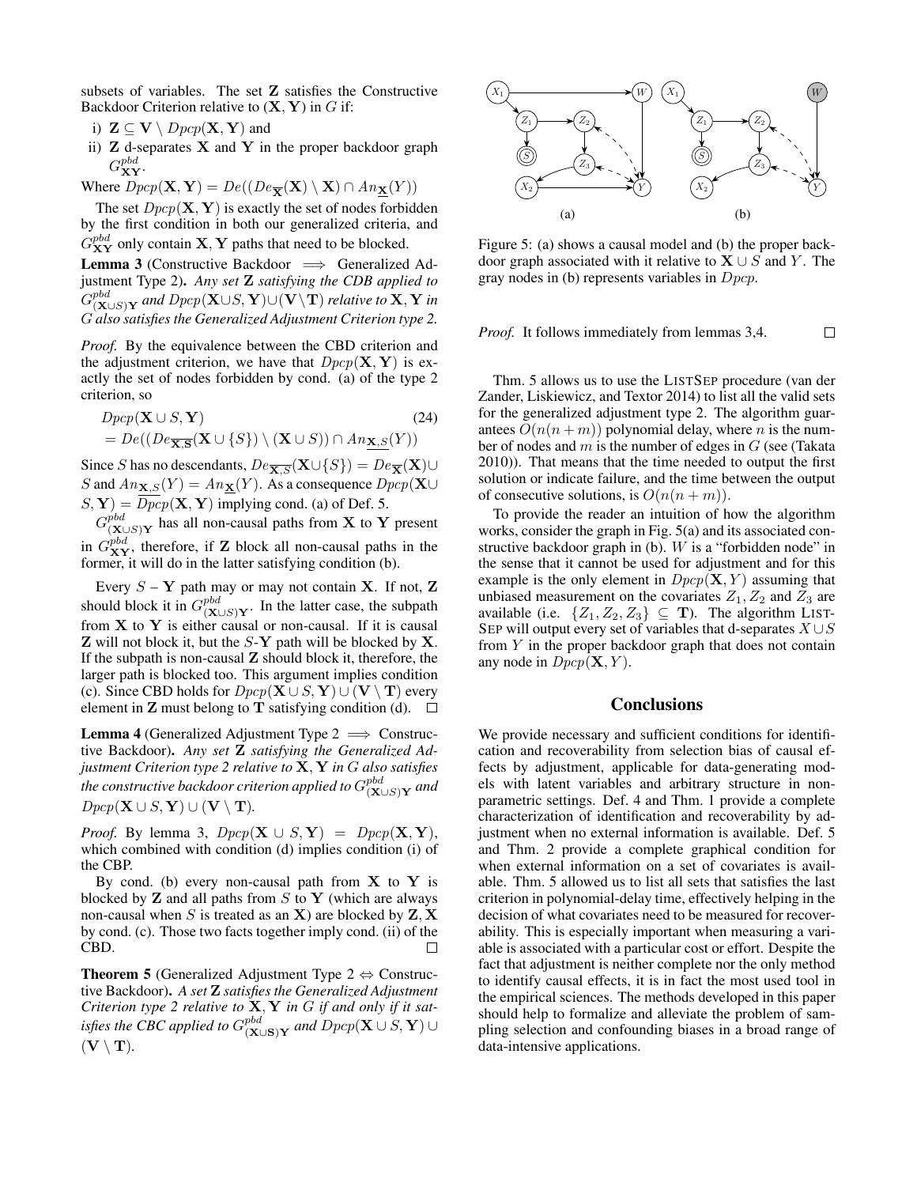subsets of variables. The set Z satisfies the Constructive Backdoor Criterion relative to  $(X, Y)$  in G if:

- i)  $\mathbf{Z} \subseteq \mathbf{V} \setminus \mathit{Dpcp}(\mathbf{X}, \mathbf{Y})$  and
- ii)  $Z$  d-separates  $X$  and  $Y$  in the proper backdoor graph  $G^{pbd}_{\bf XY}.$
- Where  $Dpcp(\mathbf{X}, \mathbf{Y}) = De((De_{\overline{\mathbf{X}}}(\mathbf{X}) \setminus \mathbf{X}) \cap An_{\mathbf{X}}(Y))$

The set  $Dpcp(\mathbf{X}, \mathbf{Y})$  is exactly the set of nodes forbidden by the first condition in both our generalized criteria, and  $G_{\bf XY}^{pbd}$  only contain **X**, **Y** paths that need to be blocked.

**Lemma 3** (Constructive Backdoor  $\implies$  Generalized Adjustment Type 2). *Any set* Z *satisfying the CDB applied to*  $G_{(\mathbf{X})}^{pbd}$  $\sum_{(\mathbf{X}\cup S)\mathbf{Y}}^{pba}$  and  $Dpcp(\mathbf{X}\cup S,\mathbf{Y})\cup(\mathbf{V}\backslash\mathbf{T})$  *relative to*  $\mathbf{X},\mathbf{Y}$  *in* G *also satisfies the Generalized Adjustment Criterion type 2.*

*Proof.* By the equivalence between the CBD criterion and the adjustment criterion, we have that  $Dpcp(\mathbf{X}, \mathbf{Y})$  is exactly the set of nodes forbidden by cond. (a) of the type 2 criterion, so

 $Dpcp(\mathbf{X} \cup S, \mathbf{Y})$  (24)  $= De((De_{\overline{\mathbf{X},\mathbf{S}}}(\mathbf{X}\cup\{S\})\setminus(\mathbf{X}\cup S)) \cap An_{\underline{\mathbf{X},S}}(Y))$ 

Since S has no descendants,  $De_{\overline{X},S}(\mathbf{X}\cup\{S\}) = De_{\overline{X}}(\mathbf{X})\cup$ S and  $An_{\mathbf{X},S}(Y) = An_{\mathbf{X}}(Y)$ . As a consequence  $Dpcp(\mathbf{X}\cup$  $(S, Y) = Dpcp(X, Y)$  implying cond. (a) of Def. 5.

 $G_{(\mathbf{X})}^{pbd}$  $\sum_{(\mathbf{X} \cup S) \mathbf{Y}}^{pod}$  has all non-causal paths from  $\mathbf{X}$  to  $\mathbf{Y}$  present in  $G_{XY}^{pbd}$ , therefore, if **Z** block all non-causal paths in the former, it will do in the latter satisfying condition (b).

Every  $S - Y$  path may or may not contain X. If not, Z should block it in  $G^{pbd}_{(\mathbf{X})}$  $\sum_{(\mathbf{X} \cup S) \mathbf{Y}}$ . In the latter case, the subpath from  $X$  to  $Y$  is either causal or non-causal. If it is causal  $\mathbf Z$  will not block it, but the  $S-Y$  path will be blocked by  $\mathbf X$ . If the subpath is non-causal  $Z$  should block it, therefore, the larger path is blocked too. This argument implies condition (c). Since CBD holds for  $Dpcp(\mathbf{X} \cup S, \mathbf{Y}) \cup (\mathbf{V} \setminus \mathbf{T})$  every element in **Z** must belong to **T** satisfying condition (d).  $\Box$ 

**Lemma 4** (Generalized Adjustment Type  $2 \implies$  Constructive Backdoor). *Any set* Z *satisfying the Generalized Adjustment Criterion type 2 relative to* X, Y *in* G *also satisfies* the constructive backdoor criterion applied to  $G^{pbd}_{(\mathbf{X})}$ (X∪S)Y *and*  $Dpcp(\mathbf{X} \cup S, \mathbf{Y}) \cup (\mathbf{V} \setminus \mathbf{T}).$ 

*Proof.* By lemma 3,  $Dpcp(\mathbf{X} \cup S, \mathbf{Y}) = Dpcp(\mathbf{X}, \mathbf{Y}),$ which combined with condition (d) implies condition (i) of the CBP.

By cond. (b) every non-causal path from  $X$  to  $Y$  is blocked by  $Z$  and all paths from  $S$  to  $Y$  (which are always non-causal when S is treated as an  $X$ ) are blocked by  $Z, X$ by cond. (c). Those two facts together imply cond. (ii) of the CBD. □

**Theorem 5** (Generalized Adjustment Type  $2 \Leftrightarrow$  Constructive Backdoor). *A set* Z *satisfies the Generalized Adjustment Criterion type 2 relative to* X, Y *in* G *if and only if it sat*isfies the CBC applied to  $G^{pbd}_{\ell\mathbf{X}^p}$  $^{pod}_{({\mathbf X}\cup {\mathbf S}){\mathbf Y}}$  and  $Dpcp({\mathbf X}\cup S,{\mathbf Y})$  ∪  $(V \setminus T)$ .



Figure 5: (a) shows a causal model and (b) the proper backdoor graph associated with it relative to  $X \cup S$  and Y. The gray nodes in (b) represents variables in Dpcp.

 $\Box$ *Proof.* It follows immediately from lemmas 3,4.

Thm. 5 allows us to use the LISTSEP procedure (van der Zander, Liskiewicz, and Textor 2014) to list all the valid sets for the generalized adjustment type 2. The algorithm guarantees  $O(n(n+m))$  polynomial delay, where *n* is the number of nodes and  $m$  is the number of edges in  $G$  (see (Takata 2010)). That means that the time needed to output the first solution or indicate failure, and the time between the output of consecutive solutions, is  $O(n(n+m))$ .

To provide the reader an intuition of how the algorithm works, consider the graph in Fig. 5(a) and its associated constructive backdoor graph in (b).  $W$  is a "forbidden node" in the sense that it cannot be used for adjustment and for this example is the only element in  $Dpcp(X, Y)$  assuming that unbiased measurement on the covariates  $Z_1, Z_2$  and  $Z_3$  are available (i.e.  $\{Z_1, Z_2, Z_3\} \subseteq T$ ). The algorithm LIST-SEP will output every set of variables that d-separates  $X \cup S$ from  $Y$  in the proper backdoor graph that does not contain any node in  $Dpcp(\mathbf{X}, Y)$ .

### **Conclusions**

We provide necessary and sufficient conditions for identification and recoverability from selection bias of causal effects by adjustment, applicable for data-generating models with latent variables and arbitrary structure in nonparametric settings. Def. 4 and Thm. 1 provide a complete characterization of identification and recoverability by adjustment when no external information is available. Def. 5 and Thm. 2 provide a complete graphical condition for when external information on a set of covariates is available. Thm. 5 allowed us to list all sets that satisfies the last criterion in polynomial-delay time, effectively helping in the decision of what covariates need to be measured for recoverability. This is especially important when measuring a variable is associated with a particular cost or effort. Despite the fact that adjustment is neither complete nor the only method to identify causal effects, it is in fact the most used tool in the empirical sciences. The methods developed in this paper should help to formalize and alleviate the problem of sampling selection and confounding biases in a broad range of data-intensive applications.